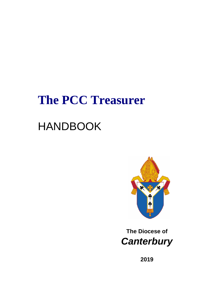# **The PCC Treasurer**

# HANDBOOK



# **The Diocese of**  *Canterbury*

**2019**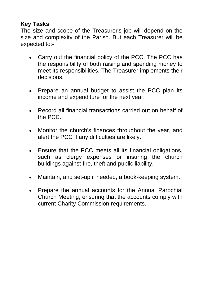# **Key Tasks**

The size and scope of the Treasurer's job will depend on the size and complexity of the Parish. But each Treasurer will be expected to:-

- Carry out the financial policy of the PCC. The PCC has the responsibility of both raising and spending money to meet its responsibilities. The Treasurer implements their decisions.
- Prepare an annual budget to assist the PCC plan its income and expenditure for the next year.
- Record all financial transactions carried out on behalf of the PCC.
- Monitor the church's finances throughout the year, and alert the PCC if any difficulties are likely.
- Ensure that the PCC meets all its financial obligations, such as clergy expenses or insuring the church buildings against fire, theft and public liability.
- Maintain, and set-up if needed, a book-keeping system.
- Prepare the annual accounts for the Annual Parochial Church Meeting, ensuring that the accounts comply with current Charity Commission requirements.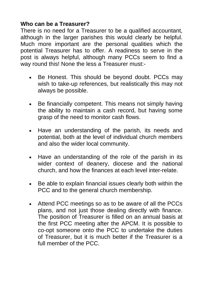## **Who can be a Treasurer?**

There is no need for a Treasurer to be a qualified accountant, although in the larger parishes this would clearly be helpful. Much more important are the personal qualities which the potential Treasurer has to offer. A readiness to serve in the post is always helpful, although many PCCs seem to find a way round this! None the less a Treasurer must:-

- Be Honest. This should be beyond doubt. PCCs may wish to take-up references, but realistically this may not always be possible.
- Be financially competent. This means not simply having the ability to maintain a cash record, but having some grasp of the need to monitor cash flows.
- Have an understanding of the parish, its needs and potential, both at the level of individual church members and also the wider local community.
- Have an understanding of the role of the parish in its wider context of deanery, diocese and the national church, and how the finances at each level inter-relate.
- Be able to explain financial issues clearly both within the PCC and to the general church membership.
- Attend PCC meetings so as to be aware of all the PCCs plans, and not just those dealing directly with finance. The position of Treasurer is filled on an annual basis at the first PCC meeting after the APCM. It is possible to co-opt someone onto the PCC to undertake the duties of Treasurer, but it is much better if the Treasurer is a full member of the PCC.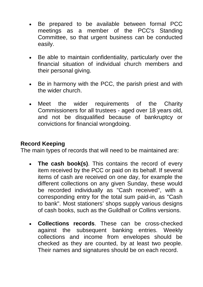- Be prepared to be available between formal PCC meetings as a member of the PCC's Standing Committee, so that urgent business can be conducted easily.
- Be able to maintain confidentiality, particularly over the financial situation of individual church members and their personal giving.
- Be in harmony with the PCC, the parish priest and with the wider church.
- Meet the wider requirements of the Charity Commissioners for all trustees - aged over 18 years old, and not be disqualified because of bankruptcy or convictions for financial wrongdoing.

#### **Record Keeping**

The main types of records that will need to be maintained are:

- **The cash book(s)**. This contains the record of every item received by the PCC or paid on its behalf. If several items of cash are received on one day, for example the different collections on any given Sunday, these would be recorded individually as "Cash received", with a corresponding entry for the total sum paid-in, as "Cash to bank". Most stationers' shops supply various designs of cash books, such as the Guildhall or Collins versions.
- **Collections records**. These can be cross-checked against the subsequent banking entries. Weekly collections and income from envelopes should be checked as they are counted, by at least two people. Their names and signatures should be on each record.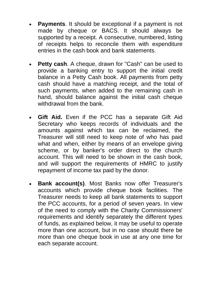- **Payments**. It should be exceptional if a payment is not made by cheque or BACS. It should always be supported by a receipt. A consecutive, numbered, listing of receipts helps to reconcile them with expenditure entries in the cash book and bank statements.
- **Petty cash**. A cheque, drawn for "Cash" can be used to provide a banking entry to support the initial credit balance in a Petty Cash book. All payments from petty cash should have a matching receipt, and the total of such payments, when added to the remaining cash in hand, should balance against the initial cash cheque withdrawal from the bank.
- **Gift Aid.** Even if the PCC has a separate Gift Aid Secretary who keeps records of individuals and the amounts against which tax can be reclaimed, the Treasurer will still need to keep note of who has paid what and when, either by means of an envelope giving scheme, or by banker's order direct to the church account. This will need to be shown in the cash book, and will support the requirements of HMRC to justify repayment of income tax paid by the donor.
- **Bank account(s)**. Most Banks now offer Treasurer's accounts which provide cheque book facilities. The Treasurer needs to keep all bank statements to support the PCC accounts, for a period of seven years. In view of the need to comply with the Charity Commissioners' requirements and identify separately the different types of funds, as explained below, it may be useful to operate more than one account, but in no case should there be more than one cheque book in use at any one time for each separate account.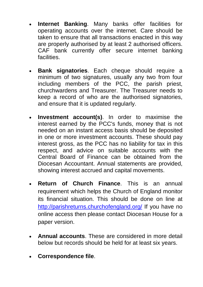- **Internet Banking**. Many banks offer facilities for operating accounts over the internet. Care should be taken to ensure that all transactions enacted in this way are properly authorised by at least 2 authorised officers. CAF bank currently offer secure internet banking facilities.
- **Bank signatories**. Each cheque should require a minimum of two signatures, usually any two from four including members of the PCC, the parish priest, churchwardens and Treasurer. The Treasurer needs to keep a record of who are the authorised signatories, and ensure that it is updated regularly.
- **Investment account(s)**. In order to maximise the interest earned by the PCC's funds, money that is not needed on an instant access basis should be deposited in one or more investment accounts. These should pay interest gross, as the PCC has no liability for tax in this respect, and advice on suitable accounts with the Central Board of Finance can be obtained from the Diocesan Accountant. Annual statements are provided, showing interest accrued and capital movements.
- **Return of Church Finance**. This is an annual requirement which helps the Church of England monitor its financial situation. This should be done on line at <http://parishreturns.churchofengland.org/> If you have no online access then please contact Diocesan House for a paper version.
- **Annual accounts**. These are considered in more detail below but records should be held for at least six years.
- **Correspondence file**.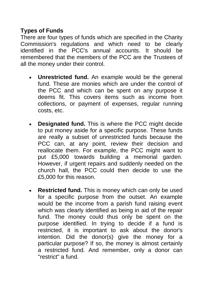# **Types of Funds**

There are four types of funds which are specified in the Charity Commission's regulations and which need to be clearly identified in the PCC's annual accounts. It should be remembered that the members of the PCC are the Trustees of all the money under their control.

- **Unrestricted fund.** An example would be the general fund. These are monies which are under the control of the PCC and which can be spent on any purpose it deems fit. This covers items such as income from collections, or payment of expenses, regular running costs, etc.
- **Designated fund.** This is where the PCC might decide to put money aside for a specific purpose. These funds are really a subset of unrestricted funds because the PCC can, at any point, review their decision and reallocate them. For example, the PCC might want to put £5,000 towards building a memorial garden. However, if urgent repairs and suddenly needed on the church hall, the PCC could then decide to use the £5,000 for this reason.
- **Restricted fund.** This is money which can only be used for a specific purpose from the outset. An example would be the income from a parish fund raising event which was clearly identified as being in aid of the repair fund. The money could thus only be spent on the purpose identified. In trying to decide if a fund is restricted, it is important to ask about the donor's intention. Did the donor(s) give the money for a particular purpose? If so, the money is almost certainly a restricted fund. And remember, only a donor can "restrict" a fund.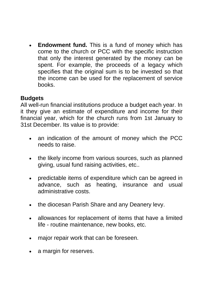**Endowment fund.** This is a fund of money which has come to the church or PCC with the specific instruction that only the interest generated by the money can be spent. For example, the proceeds of a legacy which specifies that the original sum is to be invested so that the income can be used for the replacement of service books.

#### **Budgets**

All well-run financial institutions produce a budget each year. In it they give an estimate of expenditure and income for their financial year, which for the church runs from 1st January to 31st December. Its value is to provide:

- an indication of the amount of money which the PCC needs to raise.
- the likely income from various sources, such as planned giving, usual fund raising activities, etc..
- predictable items of expenditure which can be agreed in advance, such as heating, insurance and usual administrative costs.
- the diocesan Parish Share and any Deanery levy.
- allowances for replacement of items that have a limited life - routine maintenance, new books, etc.
- major repair work that can be foreseen.
- a margin for reserves.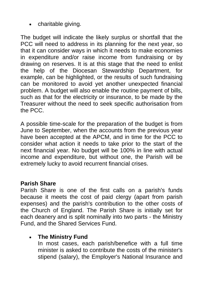• charitable giving.

The budget will indicate the likely surplus or shortfall that the PCC will need to address in its planning for the next year, so that it can consider ways in which it needs to make economies in expenditure and/or raise income from fundraising or by drawing on reserves. It is at this stage that the need to enlist the help of the Diocesan Stewardship Department, for example, can be highlighted, or the results of such fundraising can be monitored to avoid yet another unexpected financial problem. A budget will also enable the routine payment of bills, such as that for the electricity or insurance, to be made by the Treasurer without the need to seek specific authorisation from the PCC.

A possible time-scale for the preparation of the budget is from June to September, when the accounts from the previous year have been accepted at the APCM, and in time for the PCC to consider what action it needs to take prior to the start of the next financial year. No budget will be 100% in line with actual income and expenditure, but without one, the Parish will be extremely lucky to avoid recurrent financial crises.

#### **Parish Share**

Parish Share is one of the first calls on a parish's funds because it meets the cost of paid clergy (apart from parish expenses) and the parish's contribution to the other costs of the Church of England. The Parish Share is initially set for each deanery and is split nominally into two parts - the Ministry Fund, and the Shared Services Fund.

# • **The Ministry Fund**

In most cases, each parish/benefice with a full time minister is asked to contribute the costs of the minister's stipend (salary), the Employer's National Insurance and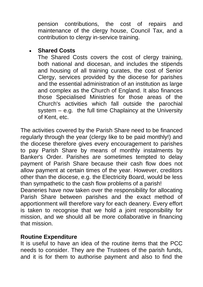pension contributions, the cost of repairs and maintenance of the clergy house, Council Tax, and a contribution to clergy in-service training.

#### • **Shared Costs**

The Shared Costs covers the cost of clergy training, both national and diocesan, and includes the stipends and housing of all training curates, the cost of Senior Clergy, services provided by the diocese for parishes and the essential administration of an institution as large and complex as the Church of England. It also finances those Specialised Ministries for those areas of the Church's activities which fall outside the parochial system – e.g. the full time Chaplaincy at the University of Kent, etc.

The activities covered by the Parish Share need to be financed regularly through the year (clergy like to be paid monthly!) and the diocese therefore gives every encouragement to parishes to pay Parish Share by means of monthly instalments by Banker's Order. Parishes are sometimes tempted to delay payment of Parish Share because their cash flow does not allow payment at certain times of the year. However, creditors other than the diocese, e.g. the Electricity Board, would be less than sympathetic to the cash flow problems of a parish!

Deaneries have now taken over the responsibility for allocating Parish Share between parishes and the exact method of apportionment will therefore vary for each deanery. Every effort is taken to recognise that we hold a joint responsibility for mission, and we should all be more collaborative in financing that mission.

#### **Routine Expenditure**

It is useful to have an idea of the routine items that the PCC needs to consider. They are the Trustees of the parish funds, and it is for them to authorise payment and also to find the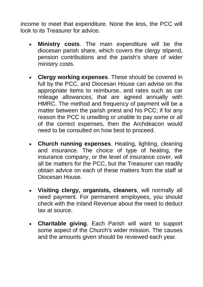income to meet that expenditure. None the less, the PCC will look to its Treasurer for advice.

- **Ministry costs**. The main expenditure will be the diocesan parish share, which covers the clergy stipend, pension contributions and the parish's share of wider ministry costs.
- **Clergy working expenses**. These should be covered in full by the PCC, and Diocesan House can advise on the appropriate items to reimburse, and rates such as car mileage allowances, that are agreed annually with HMRC. The method and frequency of payment will be a matter between the parish priest and his PCC; if for any reason the PCC is unwilling or unable to pay some or all of the correct expenses, then the Archdeacon would need to be consulted on how best to proceed.
- **Church running expenses**. Heating, lighting, cleaning and insurance. The choice of type of heating, the insurance company, or the level of insurance cover, will all be matters for the PCC, but the Treasurer can readily obtain advice on each of these matters from the staff at Diocesan House.
- **Visiting clergy, organists, cleaners**, will normally all need payment. For permanent employees, you should check with the Inland Revenue about the need to deduct tax at source.
- **Charitable giving**. Each Parish will want to support some aspect of the Church's wider mission. The causes and the amounts given should be reviewed each year.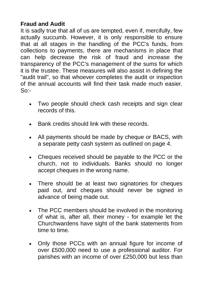### **Fraud and Audit**

It is sadly true that all of us are tempted, even if, mercifully, few actually succumb. However, it is only responsible to ensure that at all stages in the handling of the PCC's funds, from collections to payments, there are mechanisms in place that can help decrease the risk of fraud and increase the transparency of the PCC's management of the sums for which it is the trustee. These measures will also assist in defining the "audit trail", so that whoever completes the audit or inspection of the annual accounts will find their task made much easier.  $S_0$ :

- Two people should check cash receipts and sign clear records of this.
- Bank credits should link with these records.
- All payments should be made by cheque or BACS, with a separate petty cash system as outlined on page 4.
- Cheques received should be payable to the PCC or the church, not to individuals. Banks should no longer accept cheques in the wrong name.
- There should be at least two signatories for cheques paid out, and cheques should never be signed in advance of being made out.
- The PCC members should be involved in the monitoring of what is, after all, their money - for example let the Churchwardens have sight of the bank statements from time to time.
- Only those PCCs with an annual figure for income of over £500,000 need to use a professional auditor. For parishes with an income of over £250,000 but less than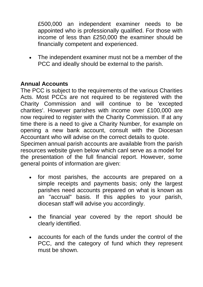£500,000 an independent examiner needs to be appointed who is professionally qualified. For those with income of less than £250,000 the examiner should be financially competent and experienced.

• The independent examiner must not be a member of the PCC and ideally should be external to the parish.

### **Annual Accounts**

The PCC is subject to the requirements of the various Charities Acts. Most PCCs are not required to be registered with the Charity Commission and will continue to be 'excepted charities'. However parishes with income over £100,000 are now required to register with the Charity Commission. If at any time there is a need to give a Charity Number, for example on opening a new bank account, consult with the Diocesan Accountant who will advise on the correct details to quote.

Specimen annual parish accounts are available from the parish resources website given below which canl serve as a model for the presentation of the full financial report. However, some general points of information are given:

- for most parishes, the accounts are prepared on a simple receipts and payments basis; only the largest parishes need accounts prepared on what is known as an "accrual" basis. If this applies to your parish, diocesan staff will advise you accordingly.
- the financial year covered by the report should be clearly identified.
- accounts for each of the funds under the control of the PCC, and the category of fund which they represent must be shown.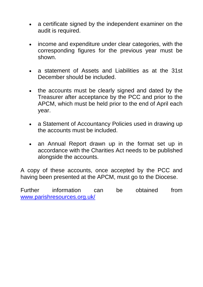- a certificate signed by the independent examiner on the audit is required.
- income and expenditure under clear categories, with the corresponding figures for the previous year must be shown.
- a statement of Assets and Liabilities as at the 31st December should be included.
- the accounts must be clearly signed and dated by the Treasurer after acceptance by the PCC and prior to the APCM, which must be held prior to the end of April each year.
- a Statement of Accountancy Policies used in drawing up the accounts must be included.
- an Annual Report drawn up in the format set up in accordance with the Charities Act needs to be published alongside the accounts.

A copy of these accounts, once accepted by the PCC and having been presented at the APCM, must go to the Diocese.

Further information can be obtained from [www.parishresources.org.uk/](http://www.parishresources.org.uk/)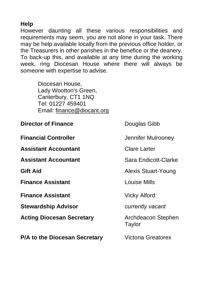#### **Help**

However daunting all these various responsibilities and requirements may seem, you are not alone in your task. There may be help available locally from the previous office holder, or the Treasurers in other parishes in the benefice or the deanery. To back-up this, and available at any time during the working week, ring Diocesan House where there will always be someone with expertise to advise.

> Diocesan House, Lady Wootton's Green, Canterbury, CT1 1NQ Tel: 01227 459401 Email: finance@diocant.org

| <b>Director of Finance</b>       | Douglas Gibb                 |
|----------------------------------|------------------------------|
| <b>Financial Controller</b>      | Jennifer Mulrooney           |
| <b>Assistant Accountant</b>      | <b>Clare Larter</b>          |
| <b>Assistant Accountant</b>      | Sara Endicott-Clarke         |
| Gift Aid                         | Alexis Stuart-Young          |
| <b>Finance Assistant</b>         | <b>Louise Mills</b>          |
|                                  |                              |
| <b>Finance Assistant</b>         | Vicky Alford                 |
| <b>Stewardship Advisor</b>       | currently vacant             |
| <b>Acting Diocesan Secretary</b> | Archdeacon Stephen<br>Taylor |
| P/A to the Diocesan Secretary    | <b>Victoria Greatorex</b>    |